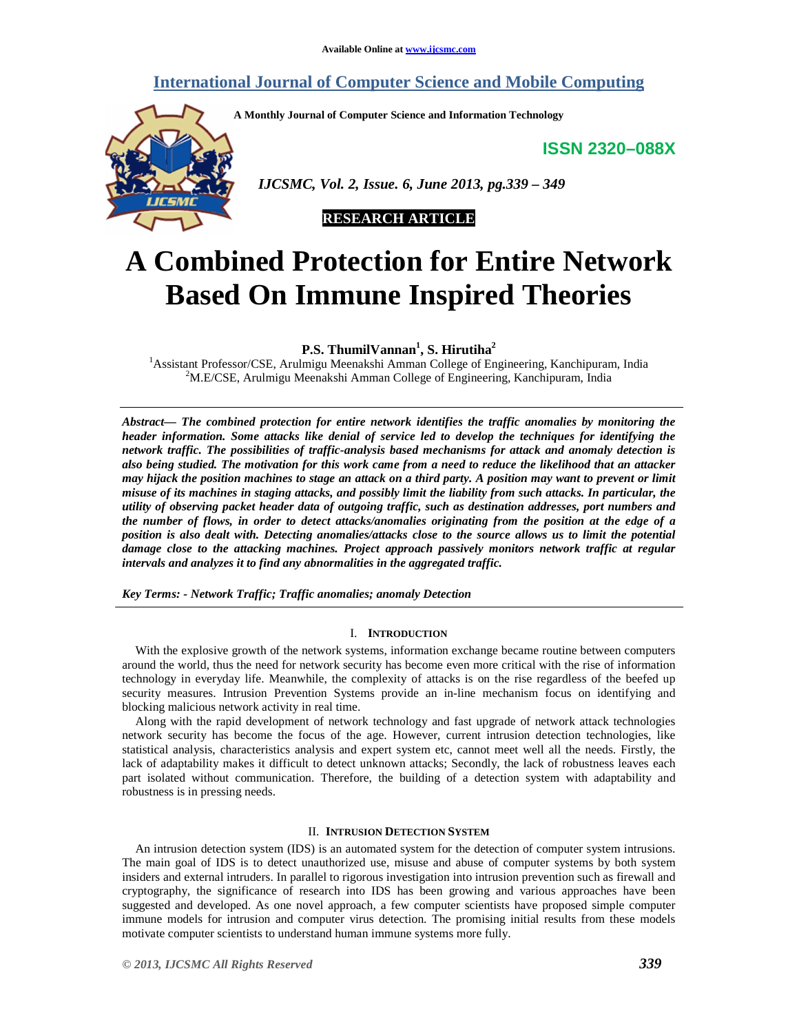## **International Journal of Computer Science and Mobile Computing**

**A Monthly Journal of Computer Science and Information Technology** 

**ISSN 2320–088X**



 *IJCSMC, Vol. 2, Issue. 6, June 2013, pg.339 – 349* 



# **A Combined Protection for Entire Network Based On Immune Inspired Theories**

**P.S. ThumilVannan<sup>1</sup> , S. Hirutiha<sup>2</sup>**

<sup>1</sup>Assistant Professor/CSE, Arulmigu Meenakshi Amman College of Engineering, Kanchipuram, India <sup>2</sup>M.E/CSE, Arulmigu Meenakshi Amman College of Engineering, Kanchipuram, India

*Abstract— The combined protection for entire network identifies the traffic anomalies by monitoring the header information. Some attacks like denial of service led to develop the techniques for identifying the network traffic. The possibilities of traffic-analysis based mechanisms for attack and anomaly detection is also being studied. The motivation for this work came from a need to reduce the likelihood that an attacker may hijack the position machines to stage an attack on a third party. A position may want to prevent or limit misuse of its machines in staging attacks, and possibly limit the liability from such attacks. In particular, the utility of observing packet header data of outgoing traffic, such as destination addresses, port numbers and the number of flows, in order to detect attacks/anomalies originating from the position at the edge of a position is also dealt with. Detecting anomalies/attacks close to the source allows us to limit the potential damage close to the attacking machines. Project approach passively monitors network traffic at regular intervals and analyzes it to find any abnormalities in the aggregated traffic.* 

*Key Terms: - Network Traffic; Traffic anomalies; anomaly Detection* 

#### I. **INTRODUCTION**

With the explosive growth of the network systems, information exchange became routine between computers around the world, thus the need for network security has become even more critical with the rise of information technology in everyday life. Meanwhile, the complexity of attacks is on the rise regardless of the beefed up security measures. Intrusion Prevention Systems provide an in-line mechanism focus on identifying and blocking malicious network activity in real time.

Along with the rapid development of network technology and fast upgrade of network attack technologies network security has become the focus of the age. However, current intrusion detection technologies, like statistical analysis, characteristics analysis and expert system etc, cannot meet well all the needs. Firstly, the lack of adaptability makes it difficult to detect unknown attacks; Secondly, the lack of robustness leaves each part isolated without communication. Therefore, the building of a detection system with adaptability and robustness is in pressing needs.

## II. **INTRUSION DETECTION SYSTEM**

An intrusion detection system (IDS) is an automated system for the detection of computer system intrusions. The main goal of IDS is to detect unauthorized use, misuse and abuse of computer systems by both system insiders and external intruders. In parallel to rigorous investigation into intrusion prevention such as firewall and cryptography, the significance of research into IDS has been growing and various approaches have been suggested and developed. As one novel approach, a few computer scientists have proposed simple computer immune models for intrusion and computer virus detection. The promising initial results from these models motivate computer scientists to understand human immune systems more fully.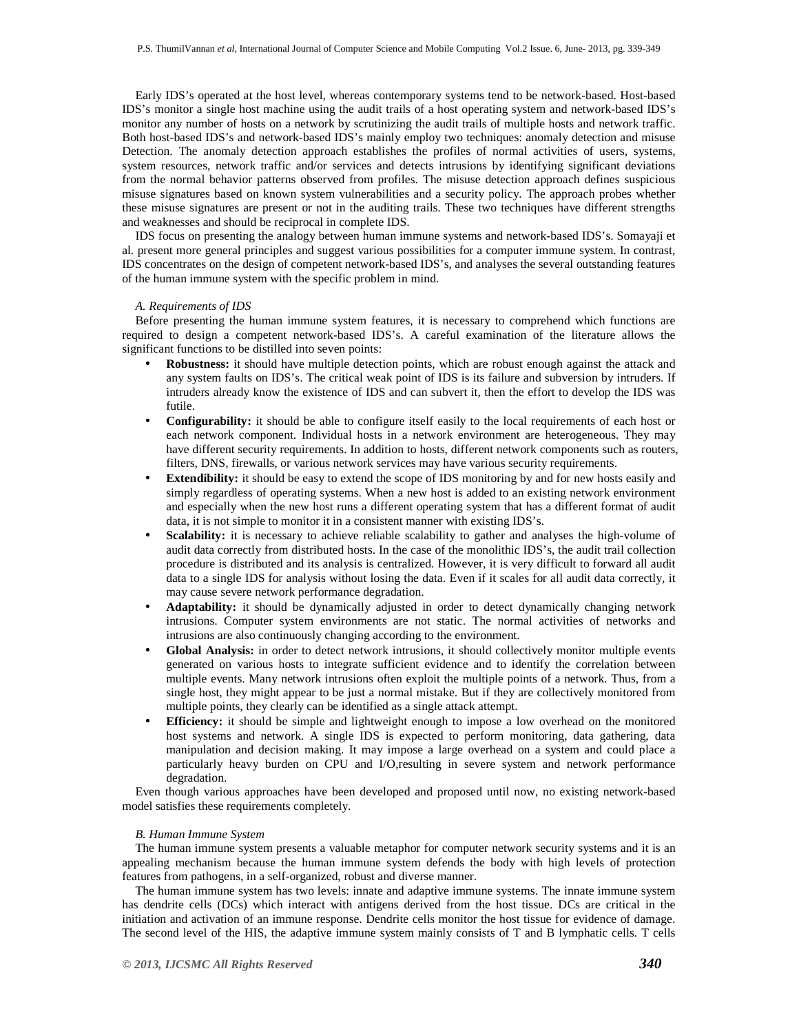Early IDS's operated at the host level, whereas contemporary systems tend to be network-based. Host-based IDS's monitor a single host machine using the audit trails of a host operating system and network-based IDS's monitor any number of hosts on a network by scrutinizing the audit trails of multiple hosts and network traffic. Both host-based IDS's and network-based IDS's mainly employ two techniques: anomaly detection and misuse Detection. The anomaly detection approach establishes the profiles of normal activities of users, systems, system resources, network traffic and/or services and detects intrusions by identifying significant deviations from the normal behavior patterns observed from profiles. The misuse detection approach defines suspicious misuse signatures based on known system vulnerabilities and a security policy. The approach probes whether these misuse signatures are present or not in the auditing trails. These two techniques have different strengths and weaknesses and should be reciprocal in complete IDS.

IDS focus on presenting the analogy between human immune systems and network-based IDS's. Somayaji et al. present more general principles and suggest various possibilities for a computer immune system. In contrast, IDS concentrates on the design of competent network-based IDS's, and analyses the several outstanding features of the human immune system with the specific problem in mind.

#### *A. Requirements of IDS*

Before presenting the human immune system features, it is necessary to comprehend which functions are required to design a competent network-based IDS's. A careful examination of the literature allows the significant functions to be distilled into seven points:

- **Robustness:** it should have multiple detection points, which are robust enough against the attack and any system faults on IDS's. The critical weak point of IDS is its failure and subversion by intruders. If intruders already know the existence of IDS and can subvert it, then the effort to develop the IDS was futile.
- **Configurability:** it should be able to configure itself easily to the local requirements of each host or each network component. Individual hosts in a network environment are heterogeneous. They may have different security requirements. In addition to hosts, different network components such as routers, filters, DNS, firewalls, or various network services may have various security requirements.
- **Extendibility:** it should be easy to extend the scope of IDS monitoring by and for new hosts easily and simply regardless of operating systems. When a new host is added to an existing network environment and especially when the new host runs a different operating system that has a different format of audit data, it is not simple to monitor it in a consistent manner with existing IDS's.
- **Scalability:** it is necessary to achieve reliable scalability to gather and analyses the high-volume of audit data correctly from distributed hosts. In the case of the monolithic IDS's, the audit trail collection procedure is distributed and its analysis is centralized. However, it is very difficult to forward all audit data to a single IDS for analysis without losing the data. Even if it scales for all audit data correctly, it may cause severe network performance degradation.
- **Adaptability:** it should be dynamically adjusted in order to detect dynamically changing network intrusions. Computer system environments are not static. The normal activities of networks and intrusions are also continuously changing according to the environment.
- Global Analysis: in order to detect network intrusions, it should collectively monitor multiple events generated on various hosts to integrate sufficient evidence and to identify the correlation between multiple events. Many network intrusions often exploit the multiple points of a network. Thus, from a single host, they might appear to be just a normal mistake. But if they are collectively monitored from multiple points, they clearly can be identified as a single attack attempt.
- **Efficiency:** it should be simple and lightweight enough to impose a low overhead on the monitored host systems and network. A single IDS is expected to perform monitoring, data gathering, data manipulation and decision making. It may impose a large overhead on a system and could place a particularly heavy burden on CPU and I/O,resulting in severe system and network performance degradation.

Even though various approaches have been developed and proposed until now, no existing network-based model satisfies these requirements completely.

#### *B. Human Immune System*

The human immune system presents a valuable metaphor for computer network security systems and it is an appealing mechanism because the human immune system defends the body with high levels of protection features from pathogens, in a self-organized, robust and diverse manner.

The human immune system has two levels: innate and adaptive immune systems. The innate immune system has dendrite cells (DCs) which interact with antigens derived from the host tissue. DCs are critical in the initiation and activation of an immune response. Dendrite cells monitor the host tissue for evidence of damage. The second level of the HIS, the adaptive immune system mainly consists of T and B lymphatic cells. T cells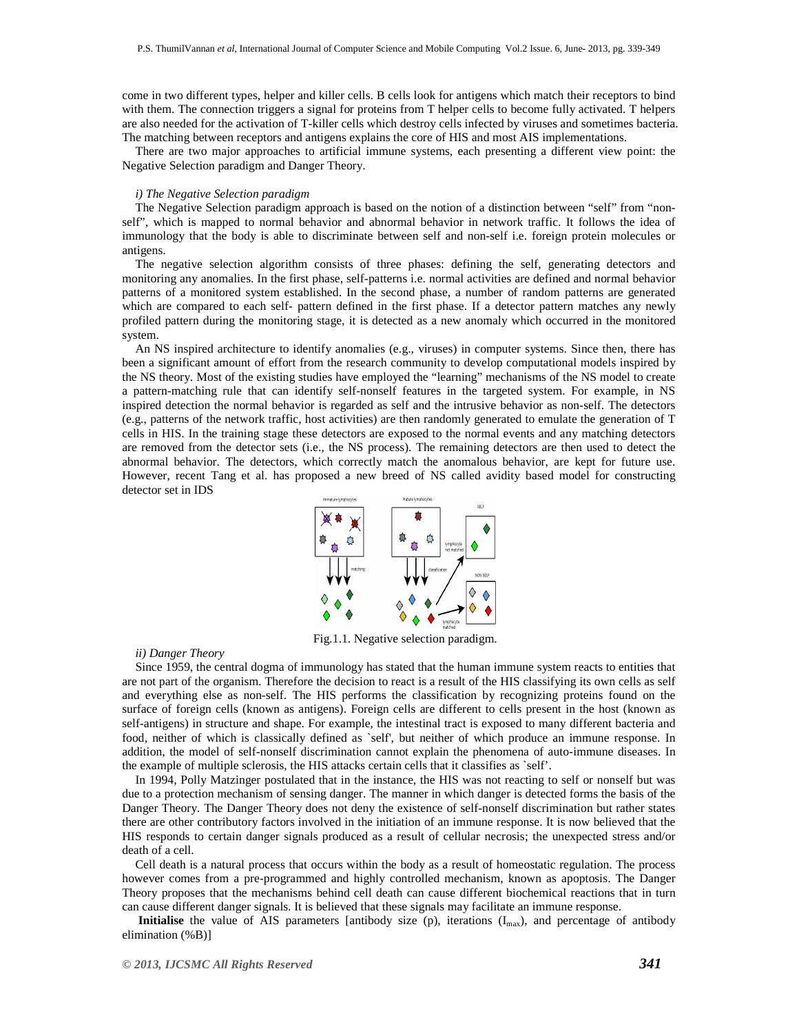come in two different types, helper and killer cells. B cells look for antigens which match their receptors to bind with them. The connection triggers a signal for proteins from T helper cells to become fully activated. T helpers are also needed for the activation of T-killer cells which destroy cells infected by viruses and sometimes bacteria. The matching between receptors and antigens explains the core of HIS and most AIS implementations.

There are two major approaches to artificial immune systems, each presenting a different view point: the Negative Selection paradigm and Danger Theory.

#### *i) The Negative Selection paradigm*

The Negative Selection paradigm approach is based on the notion of a distinction between "self" from "nonself", which is mapped to normal behavior and abnormal behavior in network traffic. It follows the idea of immunology that the body is able to discriminate between self and non-self i.e. foreign protein molecules or antigens.

The negative selection algorithm consists of three phases: defining the self, generating detectors and monitoring any anomalies. In the first phase, self-patterns i.e. normal activities are defined and normal behavior patterns of a monitored system established. In the second phase, a number of random patterns are generated which are compared to each self- pattern defined in the first phase. If a detector pattern matches any newly profiled pattern during the monitoring stage, it is detected as a new anomaly which occurred in the monitored system.

An NS inspired architecture to identify anomalies (e.g., viruses) in computer systems. Since then, there has been a significant amount of effort from the research community to develop computational models inspired by the NS theory. Most of the existing studies have employed the "learning" mechanisms of the NS model to create a pattern-matching rule that can identify self-nonself features in the targeted system. For example, in NS inspired detection the normal behavior is regarded as self and the intrusive behavior as non-self. The detectors (e.g., patterns of the network traffic, host activities) are then randomly generated to emulate the generation of T cells in HIS. In the training stage these detectors are exposed to the normal events and any matching detectors are removed from the detector sets (i.e., the NS process). The remaining detectors are then used to detect the abnormal behavior. The detectors, which correctly match the anomalous behavior, are kept for future use. However, recent Tang et al. has proposed a new breed of NS called avidity based model for constructing detector set in IDS



Fig.1.1. Negative selection paradigm.

#### *ii) Danger Theory*

Since 1959, the central dogma of immunology has stated that the human immune system reacts to entities that are not part of the organism. Therefore the decision to react is a result of the HIS classifying its own cells as self and everything else as non-self. The HIS performs the classification by recognizing proteins found on the surface of foreign cells (known as antigens). Foreign cells are different to cells present in the host (known as self-antigens) in structure and shape. For example, the intestinal tract is exposed to many different bacteria and food, neither of which is classically defined as `self', but neither of which produce an immune response. In addition, the model of self-nonself discrimination cannot explain the phenomena of auto-immune diseases. In the example of multiple sclerosis, the HIS attacks certain cells that it classifies as `self'.

In 1994, Polly Matzinger postulated that in the instance, the HIS was not reacting to self or nonself but was due to a protection mechanism of sensing danger. The manner in which danger is detected forms the basis of the Danger Theory. The Danger Theory does not deny the existence of self-nonself discrimination but rather states there are other contributory factors involved in the initiation of an immune response. It is now believed that the HIS responds to certain danger signals produced as a result of cellular necrosis; the unexpected stress and/or death of a cell.

Cell death is a natural process that occurs within the body as a result of homeostatic regulation. The process however comes from a pre-programmed and highly controlled mechanism, known as apoptosis. The Danger Theory proposes that the mechanisms behind cell death can cause different biochemical reactions that in turn can cause different danger signals. It is believed that these signals may facilitate an immune response.

**Initialise** the value of AIS parameters [antibody size (p), iterations  $(I_{\text{max}})$ , and percentage of antibody elimination (%B)]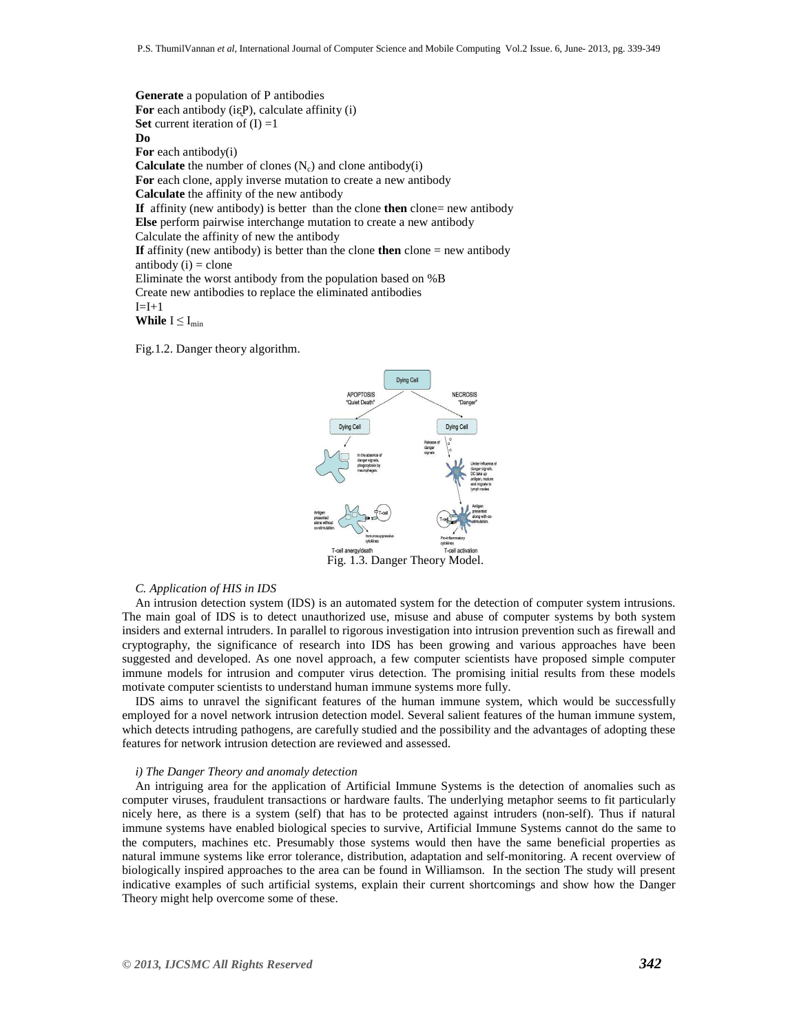**Generate** a population of P antibodies **For** each antibody (iᶓP), calculate affinity (i) **Set** current iteration of  $(I) = 1$ **Do For** each antibody(i) **Calculate** the number of clones  $(N_c)$  and clone antibody $(i)$ **For** each clone, apply inverse mutation to create a new antibody **Calculate** the affinity of the new antibody **If** affinity (new antibody) is better than the clone **then** clone= new antibody **Else** perform pairwise interchange mutation to create a new antibody Calculate the affinity of new the antibody **If** affinity (new antibody) is better than the clone **then** clone = new antibody antibody  $(i) =$  clone Eliminate the worst antibody from the population based on %B Create new antibodies to replace the eliminated antibodies  $I=I+1$ **While**  $I \leq I_{\min}$ 

Fig.1.2. Danger theory algorithm.



#### *C. Application of HIS in IDS*

An intrusion detection system (IDS) is an automated system for the detection of computer system intrusions. The main goal of IDS is to detect unauthorized use, misuse and abuse of computer systems by both system insiders and external intruders. In parallel to rigorous investigation into intrusion prevention such as firewall and cryptography, the significance of research into IDS has been growing and various approaches have been suggested and developed. As one novel approach, a few computer scientists have proposed simple computer immune models for intrusion and computer virus detection. The promising initial results from these models motivate computer scientists to understand human immune systems more fully.

IDS aims to unravel the significant features of the human immune system, which would be successfully employed for a novel network intrusion detection model. Several salient features of the human immune system, which detects intruding pathogens, are carefully studied and the possibility and the advantages of adopting these features for network intrusion detection are reviewed and assessed.

#### *i) The Danger Theory and anomaly detection*

An intriguing area for the application of Artificial Immune Systems is the detection of anomalies such as computer viruses, fraudulent transactions or hardware faults. The underlying metaphor seems to fit particularly nicely here, as there is a system (self) that has to be protected against intruders (non-self). Thus if natural immune systems have enabled biological species to survive, Artificial Immune Systems cannot do the same to the computers, machines etc. Presumably those systems would then have the same beneficial properties as natural immune systems like error tolerance, distribution, adaptation and self-monitoring. A recent overview of biologically inspired approaches to the area can be found in Williamson. In the section The study will present indicative examples of such artificial systems, explain their current shortcomings and show how the Danger Theory might help overcome some of these.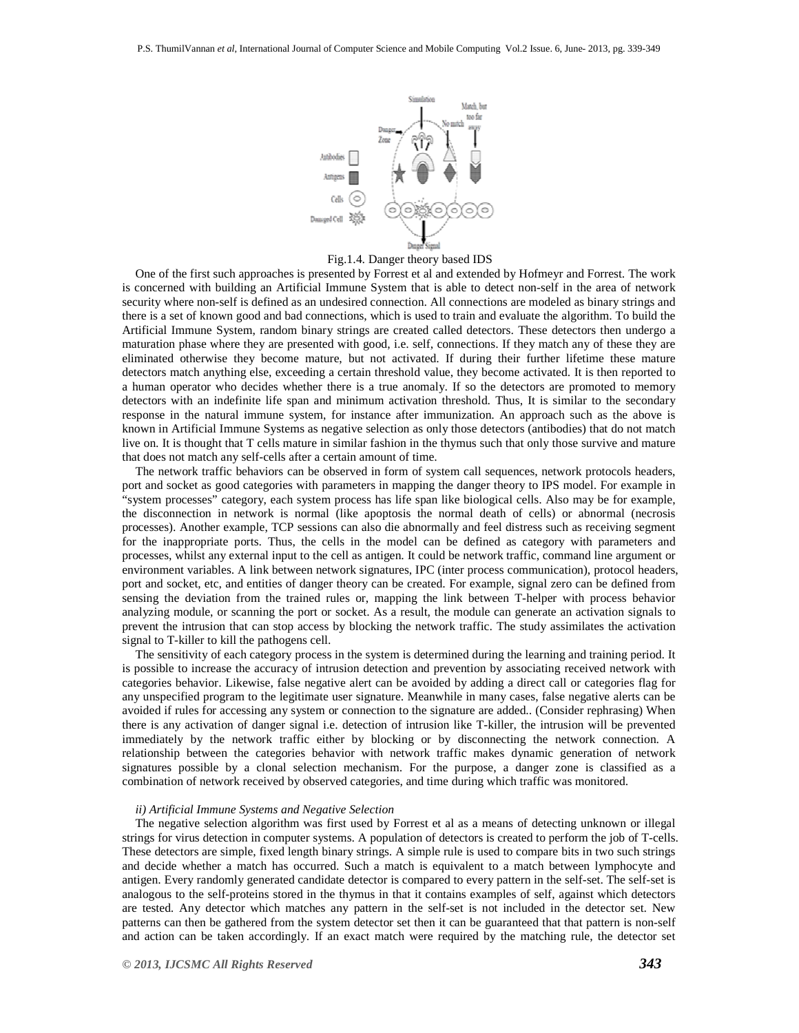



One of the first such approaches is presented by Forrest et al and extended by Hofmeyr and Forrest. The work is concerned with building an Artificial Immune System that is able to detect non-self in the area of network security where non-self is defined as an undesired connection. All connections are modeled as binary strings and there is a set of known good and bad connections, which is used to train and evaluate the algorithm. To build the Artificial Immune System, random binary strings are created called detectors. These detectors then undergo a maturation phase where they are presented with good, i.e. self, connections. If they match any of these they are eliminated otherwise they become mature, but not activated. If during their further lifetime these mature detectors match anything else, exceeding a certain threshold value, they become activated. It is then reported to a human operator who decides whether there is a true anomaly. If so the detectors are promoted to memory detectors with an indefinite life span and minimum activation threshold. Thus, It is similar to the secondary response in the natural immune system, for instance after immunization. An approach such as the above is known in Artificial Immune Systems as negative selection as only those detectors (antibodies) that do not match live on. It is thought that T cells mature in similar fashion in the thymus such that only those survive and mature that does not match any self-cells after a certain amount of time.

The network traffic behaviors can be observed in form of system call sequences, network protocols headers, port and socket as good categories with parameters in mapping the danger theory to IPS model. For example in "system processes" category, each system process has life span like biological cells. Also may be for example, the disconnection in network is normal (like apoptosis the normal death of cells) or abnormal (necrosis processes). Another example, TCP sessions can also die abnormally and feel distress such as receiving segment for the inappropriate ports. Thus, the cells in the model can be defined as category with parameters and processes, whilst any external input to the cell as antigen. It could be network traffic, command line argument or environment variables. A link between network signatures, IPC (inter process communication), protocol headers, port and socket, etc, and entities of danger theory can be created. For example, signal zero can be defined from sensing the deviation from the trained rules or, mapping the link between T-helper with process behavior analyzing module, or scanning the port or socket. As a result, the module can generate an activation signals to prevent the intrusion that can stop access by blocking the network traffic. The study assimilates the activation signal to T-killer to kill the pathogens cell.

The sensitivity of each category process in the system is determined during the learning and training period. It is possible to increase the accuracy of intrusion detection and prevention by associating received network with categories behavior. Likewise, false negative alert can be avoided by adding a direct call or categories flag for any unspecified program to the legitimate user signature. Meanwhile in many cases, false negative alerts can be avoided if rules for accessing any system or connection to the signature are added.. (Consider rephrasing) When there is any activation of danger signal i.e. detection of intrusion like T-killer, the intrusion will be prevented immediately by the network traffic either by blocking or by disconnecting the network connection. A relationship between the categories behavior with network traffic makes dynamic generation of network signatures possible by a clonal selection mechanism. For the purpose, a danger zone is classified as a combination of network received by observed categories, and time during which traffic was monitored.

#### *ii) Artificial Immune Systems and Negative Selection*

The negative selection algorithm was first used by Forrest et al as a means of detecting unknown or illegal strings for virus detection in computer systems. A population of detectors is created to perform the job of T-cells. These detectors are simple, fixed length binary strings. A simple rule is used to compare bits in two such strings and decide whether a match has occurred. Such a match is equivalent to a match between lymphocyte and antigen. Every randomly generated candidate detector is compared to every pattern in the self-set. The self-set is analogous to the self-proteins stored in the thymus in that it contains examples of self, against which detectors are tested. Any detector which matches any pattern in the self-set is not included in the detector set. New patterns can then be gathered from the system detector set then it can be guaranteed that that pattern is non-self and action can be taken accordingly. If an exact match were required by the matching rule, the detector set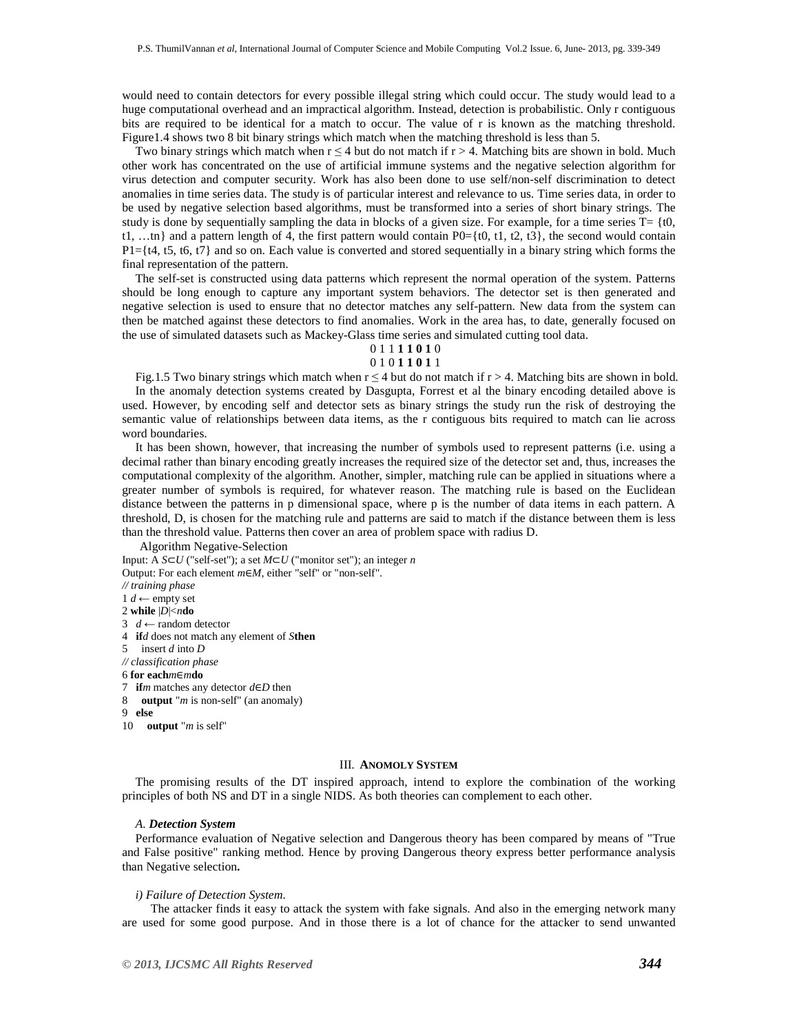would need to contain detectors for every possible illegal string which could occur. The study would lead to a huge computational overhead and an impractical algorithm. Instead, detection is probabilistic. Only r contiguous bits are required to be identical for a match to occur. The value of r is known as the matching threshold. Figure1.4 shows two 8 bit binary strings which match when the matching threshold is less than 5.

Two binary strings which match when  $r \leq 4$  but do not match if  $r > 4$ . Matching bits are shown in bold. Much other work has concentrated on the use of artificial immune systems and the negative selection algorithm for virus detection and computer security. Work has also been done to use self/non-self discrimination to detect anomalies in time series data. The study is of particular interest and relevance to us. Time series data, in order to be used by negative selection based algorithms, must be transformed into a series of short binary strings. The study is done by sequentially sampling the data in blocks of a given size. For example, for a time series  $T = \{t0,$ t1, ...tn} and a pattern length of 4, the first pattern would contain  $P0 = \{t0, t1, t2, t3\}$ , the second would contain  $P1 = \{t4, t5, t6, t7\}$  and so on. Each value is converted and stored sequentially in a binary string which forms the final representation of the pattern.

The self-set is constructed using data patterns which represent the normal operation of the system. Patterns should be long enough to capture any important system behaviors. The detector set is then generated and negative selection is used to ensure that no detector matches any self-pattern. New data from the system can then be matched against these detectors to find anomalies. Work in the area has, to date, generally focused on the use of simulated datasets such as Mackey-Glass time series and simulated cutting tool data.

#### 0 1 1 **1 1 0 1** 0 0 1 0 **1 1 0 1** 1

Fig.1.5 Two binary strings which match when  $r \le 4$  but do not match if  $r > 4$ . Matching bits are shown in bold. In the anomaly detection systems created by Dasgupta, Forrest et al the binary encoding detailed above is used. However, by encoding self and detector sets as binary strings the study run the risk of destroying the semantic value of relationships between data items, as the r contiguous bits required to match can lie across word boundaries.

It has been shown, however, that increasing the number of symbols used to represent patterns (i.e. using a decimal rather than binary encoding greatly increases the required size of the detector set and, thus, increases the computational complexity of the algorithm. Another, simpler, matching rule can be applied in situations where a greater number of symbols is required, for whatever reason. The matching rule is based on the Euclidean distance between the patterns in p dimensional space, where p is the number of data items in each pattern. A threshold, D, is chosen for the matching rule and patterns are said to match if the distance between them is less than the threshold value. Patterns then cover an area of problem space with radius D.

Algorithm Negative-Selection

```
Input: A S⊂U ("self-set"); a set M⊂U ("monitor set"); an integer n
Output: For each element m∈M, either "self" or "non-self". 
// training phase
1 d ← empty set
2 while |D|<ndo
3 d ← random detector
4 ifd does not match any element of Sthen
5 insert d into D
// classification phase
6 for eachm∈mdo
```
- 7 **if***m* matches any detector *d*∈*D* then
- 8 **output** "*m* is non-self" (an anomaly)
- 9 **else**

10 **output** "*m* is self"

#### III. **ANOMOLY SYSTEM**

The promising results of the DT inspired approach, intend to explore the combination of the working principles of both NS and DT in a single NIDS. As both theories can complement to each other.

#### *A. Detection System*

Performance evaluation of Negative selection and Dangerous theory has been compared by means of "True and False positive" ranking method. Hence by proving Dangerous theory express better performance analysis than Negative selection**.** 

#### *i) Failure of Detection System.*

 The attacker finds it easy to attack the system with fake signals. And also in the emerging network many are used for some good purpose. And in those there is a lot of chance for the attacker to send unwanted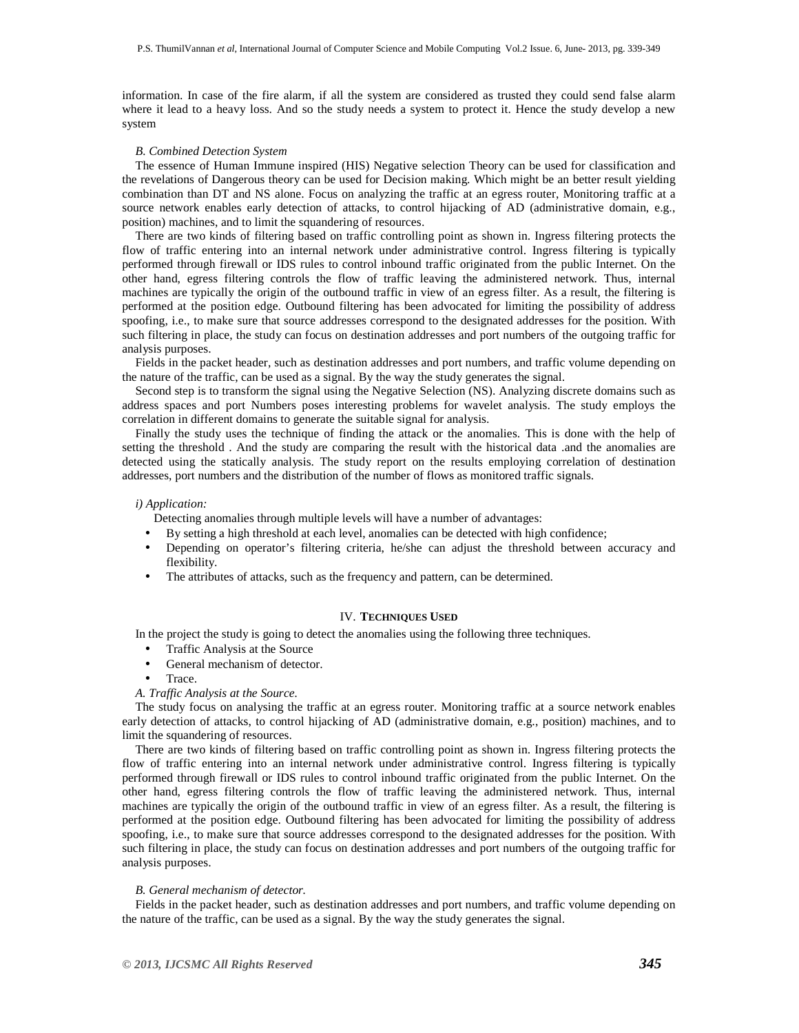information. In case of the fire alarm, if all the system are considered as trusted they could send false alarm where it lead to a heavy loss. And so the study needs a system to protect it. Hence the study develop a new system

#### *B. Combined Detection System*

The essence of Human Immune inspired (HIS) Negative selection Theory can be used for classification and the revelations of Dangerous theory can be used for Decision making. Which might be an better result yielding combination than DT and NS alone. Focus on analyzing the traffic at an egress router, Monitoring traffic at a source network enables early detection of attacks, to control hijacking of AD (administrative domain, e.g., position) machines, and to limit the squandering of resources.

There are two kinds of filtering based on traffic controlling point as shown in. Ingress filtering protects the flow of traffic entering into an internal network under administrative control. Ingress filtering is typically performed through firewall or IDS rules to control inbound traffic originated from the public Internet. On the other hand, egress filtering controls the flow of traffic leaving the administered network. Thus, internal machines are typically the origin of the outbound traffic in view of an egress filter. As a result, the filtering is performed at the position edge. Outbound filtering has been advocated for limiting the possibility of address spoofing, i.e., to make sure that source addresses correspond to the designated addresses for the position. With such filtering in place, the study can focus on destination addresses and port numbers of the outgoing traffic for analysis purposes.

Fields in the packet header, such as destination addresses and port numbers, and traffic volume depending on the nature of the traffic, can be used as a signal. By the way the study generates the signal.

Second step is to transform the signal using the Negative Selection (NS). Analyzing discrete domains such as address spaces and port Numbers poses interesting problems for wavelet analysis. The study employs the correlation in different domains to generate the suitable signal for analysis.

Finally the study uses the technique of finding the attack or the anomalies. This is done with the help of setting the threshold . And the study are comparing the result with the historical data .and the anomalies are detected using the statically analysis. The study report on the results employing correlation of destination addresses, port numbers and the distribution of the number of flows as monitored traffic signals.

#### *i) Application:*

Detecting anomalies through multiple levels will have a number of advantages:

- By setting a high threshold at each level, anomalies can be detected with high confidence;
- Depending on operator's filtering criteria, he/she can adjust the threshold between accuracy and flexibility.
- The attributes of attacks, such as the frequency and pattern, can be determined.

#### **IV. TECHNIQUES USED**

In the project the study is going to detect the anomalies using the following three techniques.

- Traffic Analysis at the Source
- General mechanism of detector.
- Trace.

*A. Traffic Analysis at the Source.* 

The study focus on analysing the traffic at an egress router. Monitoring traffic at a source network enables early detection of attacks, to control hijacking of AD (administrative domain, e.g., position) machines, and to limit the squandering of resources.

There are two kinds of filtering based on traffic controlling point as shown in. Ingress filtering protects the flow of traffic entering into an internal network under administrative control. Ingress filtering is typically performed through firewall or IDS rules to control inbound traffic originated from the public Internet. On the other hand, egress filtering controls the flow of traffic leaving the administered network. Thus, internal machines are typically the origin of the outbound traffic in view of an egress filter. As a result, the filtering is performed at the position edge. Outbound filtering has been advocated for limiting the possibility of address spoofing, i.e., to make sure that source addresses correspond to the designated addresses for the position. With such filtering in place, the study can focus on destination addresses and port numbers of the outgoing traffic for analysis purposes.

#### *B. General mechanism of detector.*

Fields in the packet header, such as destination addresses and port numbers, and traffic volume depending on the nature of the traffic, can be used as a signal. By the way the study generates the signal.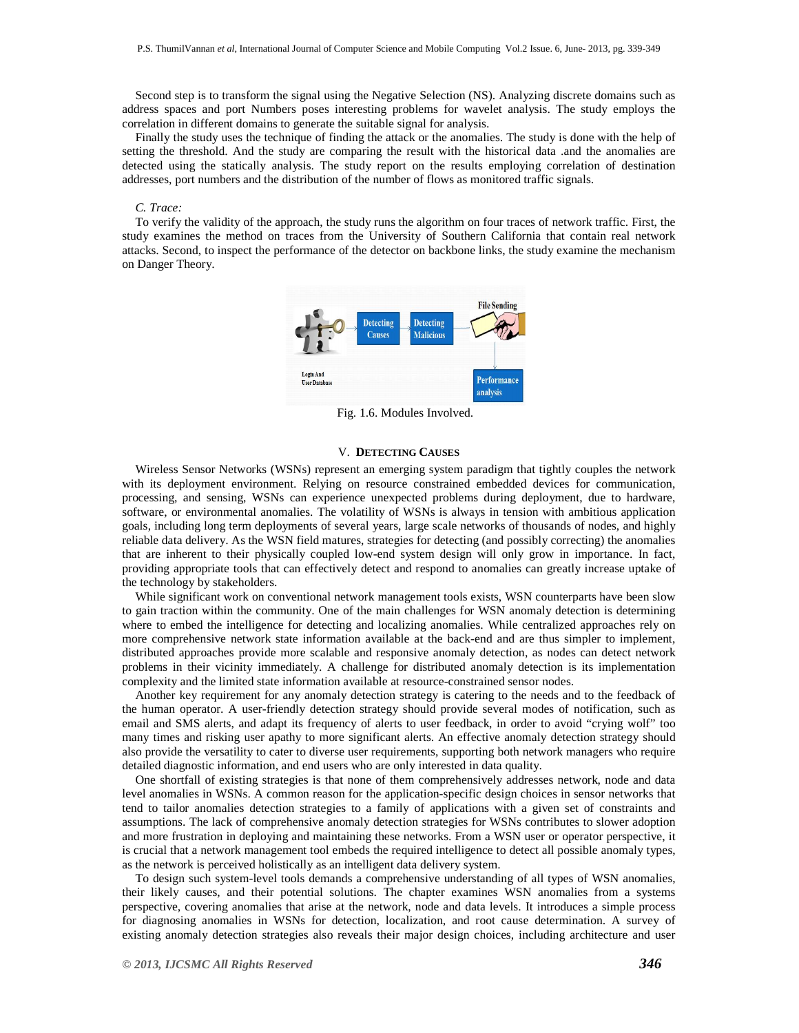Second step is to transform the signal using the Negative Selection (NS). Analyzing discrete domains such as address spaces and port Numbers poses interesting problems for wavelet analysis. The study employs the correlation in different domains to generate the suitable signal for analysis.

Finally the study uses the technique of finding the attack or the anomalies. The study is done with the help of setting the threshold. And the study are comparing the result with the historical data .and the anomalies are detected using the statically analysis. The study report on the results employing correlation of destination addresses, port numbers and the distribution of the number of flows as monitored traffic signals.

#### *C. Trace:*

To verify the validity of the approach, the study runs the algorithm on four traces of network traffic. First, the study examines the method on traces from the University of Southern California that contain real network attacks. Second, to inspect the performance of the detector on backbone links, the study examine the mechanism on Danger Theory.



Fig. 1.6. Modules Involved.

### V. **DETECTING CAUSES**

Wireless Sensor Networks (WSNs) represent an emerging system paradigm that tightly couples the network with its deployment environment. Relying on resource constrained embedded devices for communication, processing, and sensing, WSNs can experience unexpected problems during deployment, due to hardware, software, or environmental anomalies. The volatility of WSNs is always in tension with ambitious application goals, including long term deployments of several years, large scale networks of thousands of nodes, and highly reliable data delivery. As the WSN field matures, strategies for detecting (and possibly correcting) the anomalies that are inherent to their physically coupled low-end system design will only grow in importance. In fact, providing appropriate tools that can effectively detect and respond to anomalies can greatly increase uptake of the technology by stakeholders.

While significant work on conventional network management tools exists, WSN counterparts have been slow to gain traction within the community. One of the main challenges for WSN anomaly detection is determining where to embed the intelligence for detecting and localizing anomalies. While centralized approaches rely on more comprehensive network state information available at the back-end and are thus simpler to implement, distributed approaches provide more scalable and responsive anomaly detection, as nodes can detect network problems in their vicinity immediately. A challenge for distributed anomaly detection is its implementation complexity and the limited state information available at resource-constrained sensor nodes.

Another key requirement for any anomaly detection strategy is catering to the needs and to the feedback of the human operator. A user-friendly detection strategy should provide several modes of notification, such as email and SMS alerts, and adapt its frequency of alerts to user feedback, in order to avoid "crying wolf" too many times and risking user apathy to more significant alerts. An effective anomaly detection strategy should also provide the versatility to cater to diverse user requirements, supporting both network managers who require detailed diagnostic information, and end users who are only interested in data quality.

One shortfall of existing strategies is that none of them comprehensively addresses network, node and data level anomalies in WSNs. A common reason for the application-specific design choices in sensor networks that tend to tailor anomalies detection strategies to a family of applications with a given set of constraints and assumptions. The lack of comprehensive anomaly detection strategies for WSNs contributes to slower adoption and more frustration in deploying and maintaining these networks. From a WSN user or operator perspective, it is crucial that a network management tool embeds the required intelligence to detect all possible anomaly types, as the network is perceived holistically as an intelligent data delivery system.

To design such system-level tools demands a comprehensive understanding of all types of WSN anomalies, their likely causes, and their potential solutions. The chapter examines WSN anomalies from a systems perspective, covering anomalies that arise at the network, node and data levels. It introduces a simple process for diagnosing anomalies in WSNs for detection, localization, and root cause determination. A survey of existing anomaly detection strategies also reveals their major design choices, including architecture and user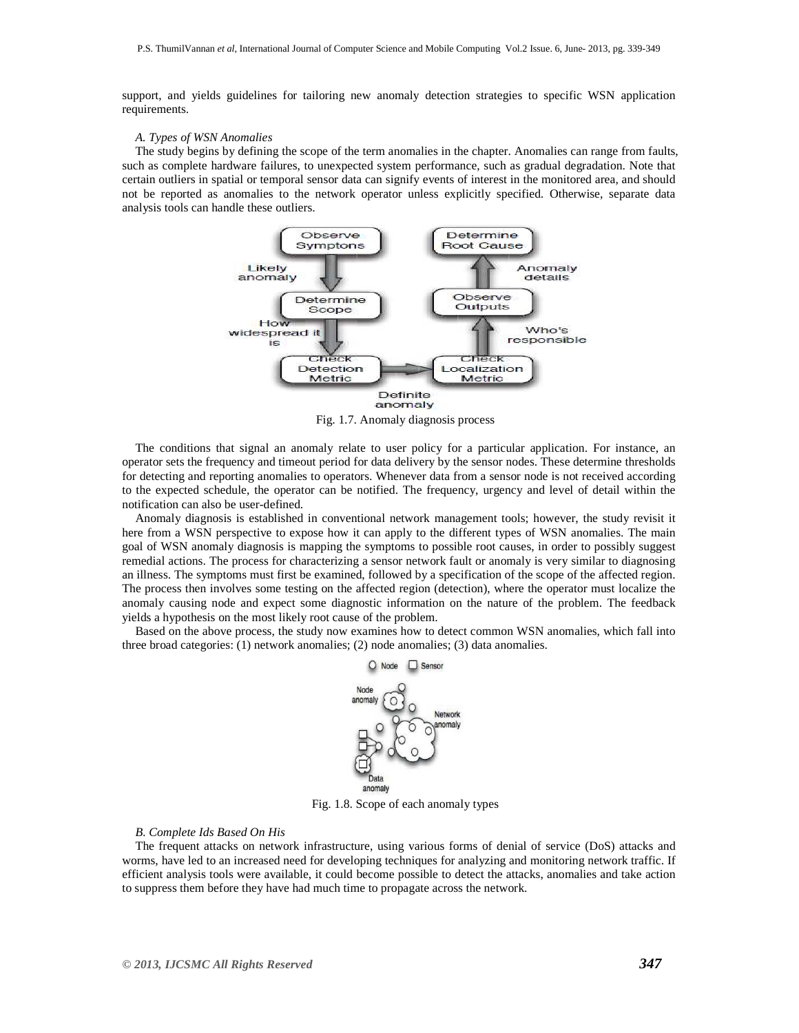support, and yields guidelines for tailoring new anomaly detection strategies to specific WSN application requirements.

#### *A. Types of WSN Anomalies*

The study begins by defining the scope of the term anomalies in the chapter. Anomalies can range from faults, such as complete hardware failures, to unexpected system performance, such as gradual degradation. Note that certain outliers in spatial or temporal sensor data can signify events of interest in the monitored area, and should not be reported as anomalies to the network operator unless explicitly specified. Otherwise, separate data analysis tools can handle these outliers.



Fig. 1.7. Anomaly diagnosis process

The conditions that signal an anomaly relate to user policy for a particular application. For instance, an operator sets the frequency and timeout period for data delivery by the sensor nodes. These determine thresholds for detecting and reporting anomalies to operators. Whenever data from a sensor node is not received according to the expected schedule, the operator can be notified. The frequency, urgency and level of detail within the notification can also be user-defined.

Anomaly diagnosis is established in conventional network management tools; however, the study revisit it here from a WSN perspective to expose how it can apply to the different types of WSN anomalies. The main goal of WSN anomaly diagnosis is mapping the symptoms to possible root causes, in order to possibly suggest remedial actions. The process for characterizing a sensor network fault or anomaly is very similar to diagnosing an illness. The symptoms must first be examined, followed by a specification of the scope of the affected region. The process then involves some testing on the affected region (detection), where the operator must localize the anomaly causing node and expect some diagnostic information on the nature of the problem. The feedback yields a hypothesis on the most likely root cause of the problem.

Based on the above process, the study now examines how to detect common WSN anomalies, which fall into three broad categories: (1) network anomalies; (2) node anomalies; (3) data anomalies.



Fig. 1.8. Scope of each anomaly types

#### *B. Complete Ids Based On His*

The frequent attacks on network infrastructure, using various forms of denial of service (DoS) attacks and worms, have led to an increased need for developing techniques for analyzing and monitoring network traffic. If efficient analysis tools were available, it could become possible to detect the attacks, anomalies and take action to suppress them before they have had much time to propagate across the network.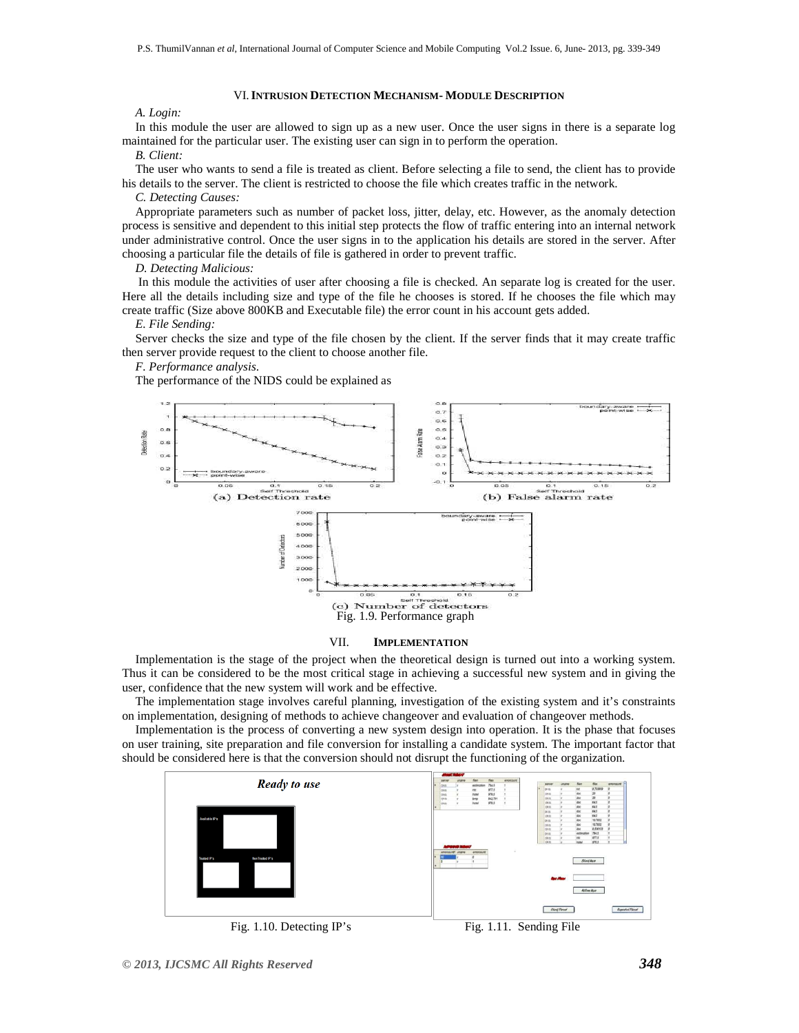#### VI.**INTRUSION DETECTION MECHANISM- MODULE DESCRIPTION**

*A. Login:* 

In this module the user are allowed to sign up as a new user. Once the user signs in there is a separate log maintained for the particular user. The existing user can sign in to perform the operation.

#### *B. Client:*

The user who wants to send a file is treated as client. Before selecting a file to send, the client has to provide his details to the server. The client is restricted to choose the file which creates traffic in the network.

#### *C. Detecting Causes:*

Appropriate parameters such as number of packet loss, jitter, delay, etc. However, as the anomaly detection process is sensitive and dependent to this initial step protects the flow of traffic entering into an internal network under administrative control. Once the user signs in to the application his details are stored in the server. After choosing a particular file the details of file is gathered in order to prevent traffic.

*D. Detecting Malicious:* 

 In this module the activities of user after choosing a file is checked. An separate log is created for the user. Here all the details including size and type of the file he chooses is stored. If he chooses the file which may create traffic (Size above 800KB and Executable file) the error count in his account gets added.

#### *E. File Sending:*

Server checks the size and type of the file chosen by the client. If the server finds that it may create traffic then server provide request to the client to choose another file.

*F. Performance analysis*.

The performance of the NIDS could be explained as



#### VII. **IMPLEMENTATION**

Implementation is the stage of the project when the theoretical design is turned out into a working system. Thus it can be considered to be the most critical stage in achieving a successful new system and in giving the user, confidence that the new system will work and be effective.

The implementation stage involves careful planning, investigation of the existing system and it's constraints on implementation, designing of methods to achieve changeover and evaluation of changeover methods.

Implementation is the process of converting a new system design into operation. It is the phase that focuses on user training, site preparation and file conversion for installing a candidate system. The important factor that should be considered here is that the conversion should not disrupt the functioning of the organization.